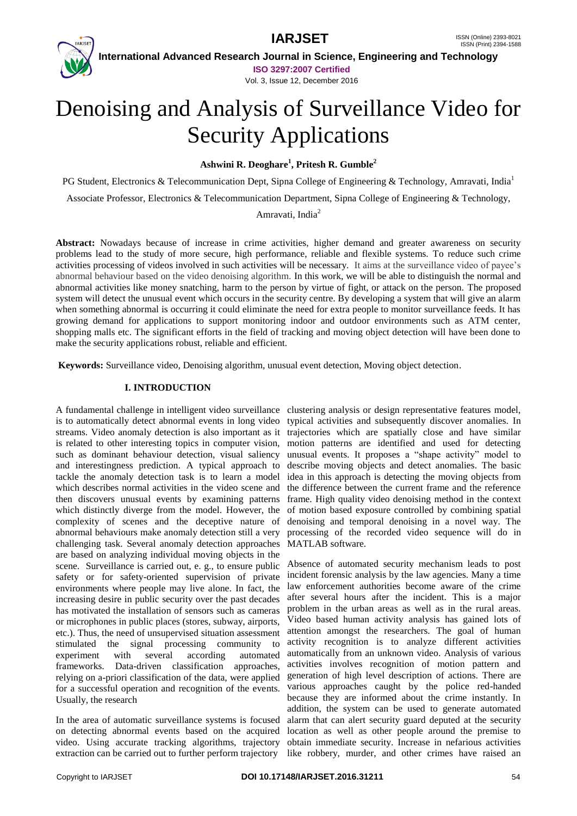

Vol. 3, Issue 12, December 2016

# Denoising and Analysis of Surveillance Video for Security Applications

**Ashwini R. Deoghare<sup>1</sup> , Pritesh R. Gumble<sup>2</sup>**

PG Student, Electronics & Telecommunication Dept, Sipna College of Engineering & Technology, Amravati, India<sup>1</sup>

Associate Professor, Electronics & Telecommunication Department, Sipna College of Engineering & Technology,

Amravati, India<sup>2</sup>

**Abstract:** Nowadays because of increase in crime activities, higher demand and greater awareness on security problems lead to the study of more secure, high performance, reliable and flexible systems. To reduce such crime activities processing of videos involved in such activities will be necessary. It aims at the surveillance video of payee"s abnormal behaviour based on the video denoising algorithm. In this work, we will be able to distinguish the normal and abnormal activities like money snatching, harm to the person by virtue of fight, or attack on the person. The proposed system will detect the unusual event which occurs in the security centre. By developing a system that will give an alarm when something abnormal is occurring it could eliminate the need for extra people to monitor surveillance feeds. It has growing demand for applications to support monitoring indoor and outdoor environments such as ATM center, shopping malls etc. The significant efforts in the field of tracking and moving object detection will have been done to make the security applications robust, reliable and efficient.

**Keywords:** Surveillance video, Denoising algorithm, unusual event detection, Moving object detection.

#### **I. INTRODUCTION**

such as dominant behaviour detection, visual saliency and interestingness prediction. A typical approach to tackle the anomaly detection task is to learn a model which describes normal activities in the video scene and then discovers unusual events by examining patterns which distinctly diverge from the model. However, the complexity of scenes and the deceptive nature of abnormal behaviours make anomaly detection still a very challenging task. Several anomaly detection approaches are based on analyzing individual moving objects in the scene. Surveillance is carried out, e. g., to ensure public safety or for safety-oriented supervision of private environments where people may live alone. In fact, the increasing desire in public security over the past decades has motivated the installation of sensors such as cameras or microphones in public places (stores, subway, airports, etc.). Thus, the need of unsupervised situation assessment stimulated the signal processing community to experiment with several according automated frameworks. Data-driven classification approaches, relying on a-priori classification of the data, were applied for a successful operation and recognition of the events. Usually, the research

In the area of automatic surveillance systems is focused extraction can be carried out to further perform trajectory

A fundamental challenge in intelligent video surveillance clustering analysis or design representative features model, is to automatically detect abnormal events in long video typical activities and subsequently discover anomalies. In streams. Video anomaly detection is also important as it trajectories which are spatially close and have similar is related to other interesting topics in computer vision, motion patterns are identified and used for detecting unusual events. It proposes a "shape activity" model to describe moving objects and detect anomalies. The basic idea in this approach is detecting the moving objects from the difference between the current frame and the reference frame. High quality video denoising method in the context of motion based exposure controlled by combining spatial denoising and temporal denoising in a novel way. The processing of the recorded video sequence will do in MATLAB software.

on detecting abnormal events based on the acquired location as well as other people around the premise to video. Using accurate tracking algorithms, trajectory obtain immediate security. Increase in nefarious activities Absence of automated security mechanism leads to post incident forensic analysis by the law agencies. Many a time law enforcement authorities become aware of the crime after several hours after the incident. This is a major problem in the urban areas as well as in the rural areas. Video based human activity analysis has gained lots of attention amongst the researchers. The goal of human activity recognition is to analyze different activities automatically from an unknown video. Analysis of various activities involves recognition of motion pattern and generation of high level description of actions. There are various approaches caught by the police red-handed because they are informed about the crime instantly. In addition, the system can be used to generate automated alarm that can alert security guard deputed at the security like robbery, murder, and other crimes have raised an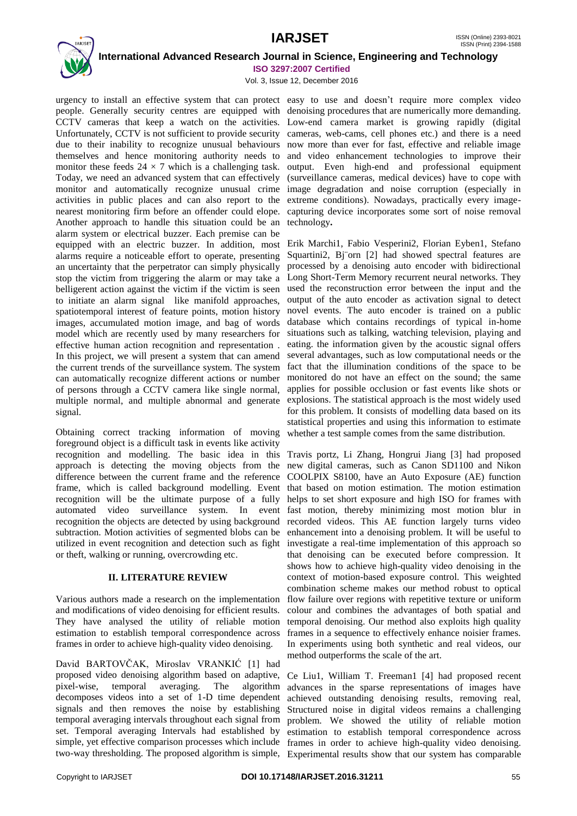

Vol. 3, Issue 12, December 2016

nearest monitoring firm before an offender could elope. Another approach to handle this situation could be an alarm system or electrical buzzer. Each premise can be equipped with an electric buzzer. In addition, most alarms require a noticeable effort to operate, presenting an uncertainty that the perpetrator can simply physically stop the victim from triggering the alarm or may take a belligerent action against the victim if the victim is seen to initiate an alarm signal like manifold approaches, spatiotemporal interest of feature points, motion history images, accumulated motion image, and bag of words model which are recently used by many researchers for effective human action recognition and representation . In this project, we will present a system that can amend the current trends of the surveillance system. The system can automatically recognize different actions or number of persons through a CCTV camera like single normal, multiple normal, and multiple abnormal and generate signal.

Obtaining correct tracking information of moving foreground object is a difficult task in events like activity difference between the current frame and the reference recognition will be the ultimate purpose of a fully automated video surveillance system. In event recognition the objects are detected by using background subtraction. Motion activities of segmented blobs can be or theft, walking or running, overcrowding etc.

### **II. LITERATURE REVIEW**

frames in order to achieve high-quality video denoising.

David BARTOVČAK, Miroslav VRANKIĆ [1] had proposed video denoising algorithm based on adaptive, pixel-wise, temporal averaging. The

urgency to install an effective system that can protect easy to use and doesn"t require more complex video people. Generally security centres are equipped with denoising procedures that are numerically more demanding. CCTV cameras that keep a watch on the activities. Low-end camera market is growing rapidly (digital Unfortunately, CCTV is not sufficient to provide security cameras, web-cams, cell phones etc.) and there is a need due to their inability to recognize unusual behaviours now more than ever for fast, effective and reliable image themselves and hence monitoring authority needs to and video enhancement technologies to improve their monitor these feeds  $24 \times 7$  which is a challenging task. output. Even high-end and professional equipment Today, we need an advanced system that can effectively (surveillance cameras, medical devices) have to cope with monitor and automatically recognize unusual crime image degradation and noise corruption (especially in activities in public places and can also report to the extreme conditions). Nowadays, practically every imagecapturing device incorporates some sort of noise removal technology**.**

> Erik Marchi1, Fabio Vesperini2, Florian Eyben1, Stefano Squartini2, Bj orn [2] had showed spectral features are processed by a denoising auto encoder with bidirectional Long Short-Term Memory recurrent neural networks. They used the reconstruction error between the input and the output of the auto encoder as activation signal to detect novel events. The auto encoder is trained on a public database which contains recordings of typical in-home situations such as talking, watching television, playing and eating. the information given by the acoustic signal offers several advantages, such as low computational needs or the fact that the illumination conditions of the space to be monitored do not have an effect on the sound; the same applies for possible occlusion or fast events like shots or explosions. The statistical approach is the most widely used for this problem. It consists of modelling data based on its statistical properties and using this information to estimate whether a test sample comes from the same distribution.

recognition and modelling. The basic idea in this Travis portz, Li Zhang, Hongrui Jiang [3] had proposed approach is detecting the moving objects from the new digital cameras, such as Canon SD1100 and Nikon frame, which is called background modelling. Event that based on motion estimation. The motion estimation utilized in event recognition and detection such as fight investigate a real-time implementation of this approach so Various authors made a research on the implementation flow failure over regions with repetitive texture or uniform and modifications of video denoising for efficient results. colour and combines the advantages of both spatial and They have analysed the utility of reliable motion temporal denoising. Our method also exploits high quality estimation to establish temporal correspondence across frames in a sequence to effectively enhance noisier frames. COOLPIX S8100, have an Auto Exposure (AE) function helps to set short exposure and high ISO for frames with fast motion, thereby minimizing most motion blur in recorded videos. This AE function largely turns video enhancement into a denoising problem. It will be useful to that denoising can be executed before compression. It shows how to achieve high-quality video denoising in the context of motion-based exposure control. This weighted combination scheme makes our method robust to optical In experiments using both synthetic and real videos, our method outperforms the scale of the art.

decomposes videos into a set of 1-D time dependent achieved outstanding denoising results, removing real, signals and then removes the noise by establishing Structured noise in digital videos remains a challenging temporal averaging intervals throughout each signal from problem. We showed the utility of reliable motion set. Temporal averaging Intervals had established by estimation to establish temporal correspondence across simple, yet effective comparison processes which include frames in order to achieve high-quality video denoising. two-way thresholding. The proposed algorithm is simple, Experimental results show that our system has comparable Ce Liu1, William T. Freeman1 [4] had proposed recent algorithm advances in the sparse representations of images have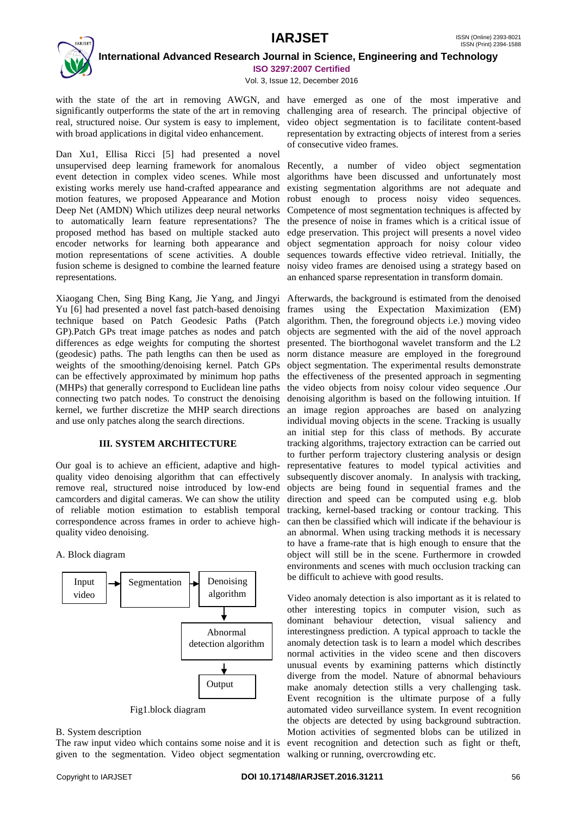

Vol. 3, Issue 12, December 2016

with broad applications in digital video enhancement.

Dan Xu1, Ellisa Ricci [5] had presented a novel event detection in complex video scenes. While most existing works merely use hand-crafted appearance and motion features, we proposed Appearance and Motion Deep Net (AMDN) Which utilizes deep neural networks to automatically learn feature representations? The proposed method has based on multiple stacked auto encoder networks for learning both appearance and motion representations of scene activities. A double fusion scheme is designed to combine the learned feature representations.

Xiaogang Chen, Sing Bing Kang, Jie Yang, and Jingyi Yu [6] had presented a novel fast patch-based denoising technique based on Patch Geodesic Paths (Patch GP).Patch GPs treat image patches as nodes and patch differences as edge weights for computing the shortest (geodesic) paths. The path lengths can then be used as weights of the smoothing/denoising kernel. Patch GPs can be effectively approximated by minimum hop paths (MHPs) that generally correspond to Euclidean line paths connecting two patch nodes. To construct the denoising and use only patches along the search directions.

#### **III. SYSTEM ARCHITECTURE**

Our goal is to achieve an efficient, adaptive and highquality video denoising algorithm that can effectively remove real, structured noise introduced by low-end camcorders and digital cameras. We can show the utility of reliable motion estimation to establish temporal correspondence across frames in order to achieve highquality video denoising.

#### A. Block diagram



Fig1.block diagram

#### B. System description

given to the segmentation. Video object segmentation walking or running, overcrowding etc.

with the state of the art in removing AWGN, and have emerged as one of the most imperative and significantly outperforms the state of the art in removing challenging area of research. The principal objective of real, structured noise. Our system is easy to implement, video object segmentation is to facilitate content-based representation by extracting objects of interest from a series of consecutive video frames.

unsupervised deep learning framework for anomalous Recently, a number of video object segmentation algorithms have been discussed and unfortunately most existing segmentation algorithms are not adequate and robust enough to process noisy video sequences. Competence of most segmentation techniques is affected by the presence of noise in frames which is a critical issue of edge preservation. This project will presents a novel video object segmentation approach for noisy colour video sequences towards effective video retrieval. Initially, the noisy video frames are denoised using a strategy based on an enhanced sparse representation in transform domain.

kernel, we further discretize the MHP search directions an image region approaches are based on analyzing Afterwards, the background is estimated from the denoised frames using the Expectation Maximization (EM) algorithm. Then, the foreground objects i.e.) moving video objects are segmented with the aid of the novel approach presented. The biorthogonal wavelet transform and the L2 norm distance measure are employed in the foreground object segmentation. The experimental results demonstrate the effectiveness of the presented approach in segmenting the video objects from noisy colour video sequence .Our denoising algorithm is based on the following intuition. If individual moving objects in the scene. Tracking is usually an initial step for this class of methods. By accurate tracking algorithms, trajectory extraction can be carried out to further perform trajectory clustering analysis or design representative features to model typical activities and subsequently discover anomaly.In analysis with tracking, objects are being found in sequential frames and the direction and speed can be computed using e.g. blob tracking, kernel-based tracking or contour tracking. This can then be classified which will indicate if the behaviour is an abnormal. When using tracking methods it is necessary to have a frame-rate that is high enough to ensure that the object will still be in the scene. Furthermore in crowded environments and scenes with much occlusion tracking can be difficult to achieve with good results.

The raw input video which contains some noise and it is event recognition and detection such as fight or theft, Video anomaly detection is also important as it is related to other interesting topics in computer vision, such as dominant behaviour detection, visual saliency and interestingness prediction. A typical approach to tackle the anomaly detection task is to learn a model which describes normal activities in the video scene and then discovers unusual events by examining patterns which distinctly diverge from the model. Nature of abnormal behaviours make anomaly detection stills a very challenging task. Event recognition is the ultimate purpose of a fully automated video surveillance system. In event recognition the objects are detected by using background subtraction. Motion activities of segmented blobs can be utilized in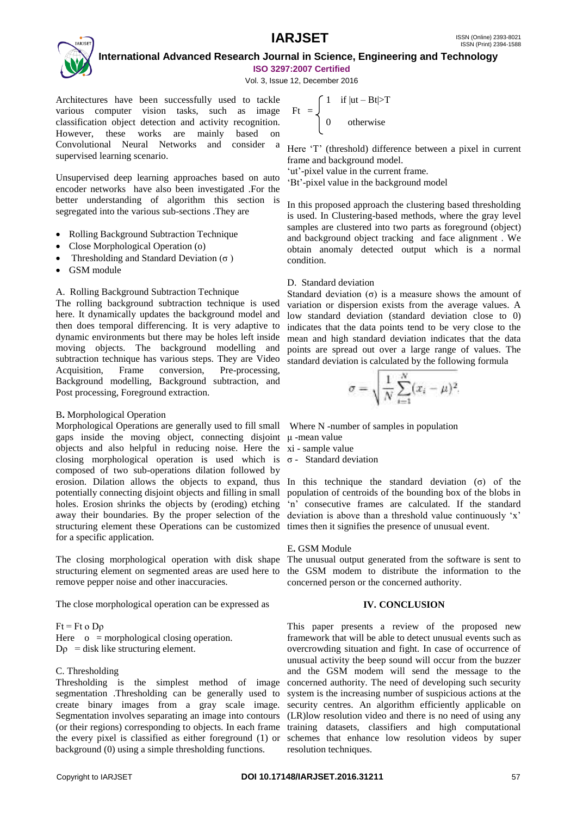

Vol. 3, Issue 12, December 2016

Architectures have been successfully used to tackle various computer vision tasks, such as image classification object detection and activity recognition. However, these works are mainly based on Convolutional Neural Networks and consider a supervised learning scenario.

Unsupervised deep learning approaches based on auto encoder networks have also been investigated .For the better understanding of algorithm this section is segregated into the various sub-sections .They are

- Rolling Background Subtraction Technique
- Close Morphological Operation (o)
- Thresholding and Standard Deviation  $(\sigma)$
- GSM module

A. Rolling Background Subtraction Technique

The rolling background subtraction technique is used here. It dynamically updates the background model and then does temporal differencing. It is very adaptive to dynamic environments but there may be holes left inside moving objects. The background modelling and subtraction technique has various steps. They are Video Acquisition, Frame conversion, Pre-processing, Background modelling, Background subtraction, and Post processing, Foreground extraction.

#### B**.** Morphological Operation

Morphological Operations are generally used to fill small Where N -number of samples in population gaps inside the moving object, connecting disjoint μ -mean value objects and also helpful in reducing noise. Here the xi - sample value closing morphological operation is used which is σ - Standard deviation composed of two sub-operations dilation followed by structuring element these Operations can be customized times then it signifies the presence of unusual event. for a specific application.

remove pepper noise and other inaccuracies.

The close morphological operation can be expressed as

#### $Ft = Ft o D\rho$

Here  $o = morphological closing operation$ .  $D\rho$  = disk like structuring element.

#### C. Thresholding

background (0) using a simple thresholding functions.

$$
Ft = \begin{cases} 1 & \text{if } |ut - Bt| > T \\ 0 & \text{otherwise} \end{cases}
$$

Here 'T' (threshold) difference between a pixel in current frame and background model.

'ut'-pixel value in the current frame.

'Bt'-pixel value in the background model

In this proposed approach the clustering based thresholding is used. In Clustering-based methods, where the gray level samples are clustered into two parts as foreground (object) and background object tracking and face alignment . We obtain anomaly detected output which is a normal condition.

#### D. Standard deviation

Standard deviation  $(σ)$  is a measure shows the amount of variation or dispersion exists from the average values. A low standard deviation (standard deviation close to 0) indicates that the data points tend to be very close to the mean and high standard deviation indicates that the data points are spread out over a large range of values. The standard deviation is calculated by the following formula

$$
\sigma = \sqrt{\frac{1}{N} \sum_{i=1}^{N} (x_i - \mu)^2}
$$

- 
- 

erosion. Dilation allows the objects to expand, thus In this technique the standard deviation  $(σ)$  of the potentially connecting disjoint objects and filling in small population of centroids of the bounding box of the blobs in holes. Erosion shrinks the objects by (eroding) etching 'n' consecutive frames are calculated. If the standard away their boundaries. By the proper selection of the deviation is above than a threshold value continuously 'x'

#### E**.** GSM Module

The closing morphological operation with disk shape The unusual output generated from the software is sent to structuring element on segmented areas are used here to the GSM modem to distribute the information to the concerned person or the concerned authority.

#### **IV. CONCLUSION**

Thresholding is the simplest method of image concerned authority. The need of developing such security segmentation .Thresholding can be generally used to system is the increasing number of suspicious actions at the create binary images from a gray scale image. security centres. An algorithm efficiently applicable on Segmentation involves separating an image into contours (LR)low resolution video and there is no need of using any (or their regions) corresponding to objects. In each frame training datasets, classifiers and high computational the every pixel is classified as either foreground (1) or schemes that enhance low resolution videos by super This paper presents a review of the proposed new framework that will be able to detect unusual events such as overcrowding situation and fight. In case of occurrence of unusual activity the beep sound will occur from the buzzer and the GSM modem will send the message to the resolution techniques.